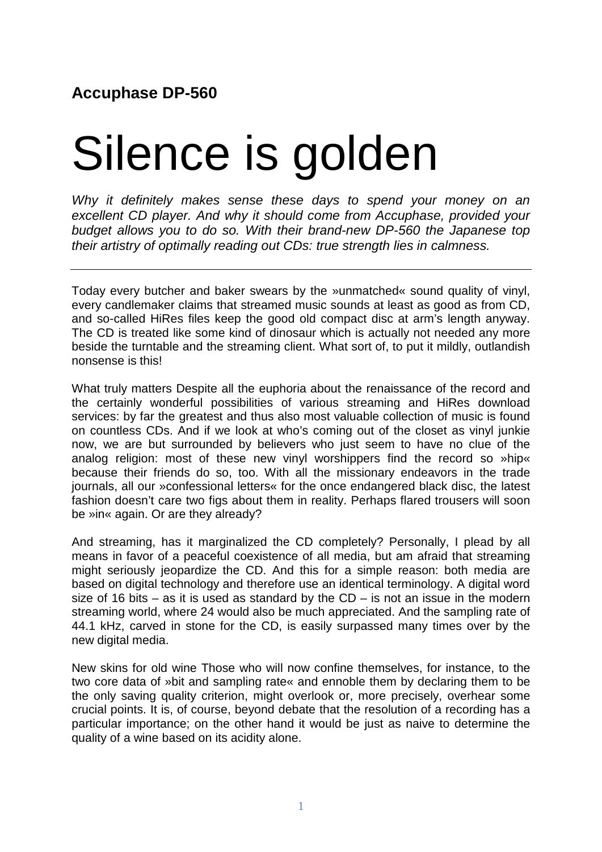## **Accuphase DP-560**

## Silence is golden

*Why it definitely makes sense these days to spend your money on an excellent CD player. And why it should come from Accuphase, provided your budget allows you to do so. With their brand-new DP-560 the Japanese top their artistry of optimally reading out CDs: true strength lies in calmness.*

Today every butcher and baker swears by the »unmatched« sound quality of vinyl, every candlemaker claims that streamed music sounds at least as good as from CD, and so-called HiRes files keep the good old compact disc at arm's length anyway. The CD is treated like some kind of dinosaur which is actually not needed any more beside the turntable and the streaming client. What sort of, to put it mildly, outlandish nonsense is this!

What truly matters Despite all the euphoria about the renaissance of the record and the certainly wonderful possibilities of various streaming and HiRes download services: by far the greatest and thus also most valuable collection of music is found on countless CDs. And if we look at who's coming out of the closet as vinyl junkie now, we are but surrounded by believers who just seem to have no clue of the analog religion: most of these new vinyl worshippers find the record so »hip« because their friends do so, too. With all the missionary endeavors in the trade journals, all our »confessional letters« for the once endangered black disc, the latest fashion doesn't care two figs about them in reality. Perhaps flared trousers will soon be »in« again. Or are they already?

And streaming, has it marginalized the CD completely? Personally, I plead by all means in favor of a peaceful coexistence of all media, but am afraid that streaming might seriously jeopardize the CD. And this for a simple reason: both media are based on digital technology and therefore use an identical terminology. A digital word size of 16 bits – as it is used as standard by the  $CD -$  is not an issue in the modern streaming world, where 24 would also be much appreciated. And the sampling rate of 44.1 kHz, carved in stone for the CD, is easily surpassed many times over by the new digital media.

New skins for old wine Those who will now confine themselves, for instance, to the two core data of »bit and sampling rate« and ennoble them by declaring them to be the only saving quality criterion, might overlook or, more precisely, overhear some crucial points. It is, of course, beyond debate that the resolution of a recording has a particular importance; on the other hand it would be just as naive to determine the quality of a wine based on its acidity alone.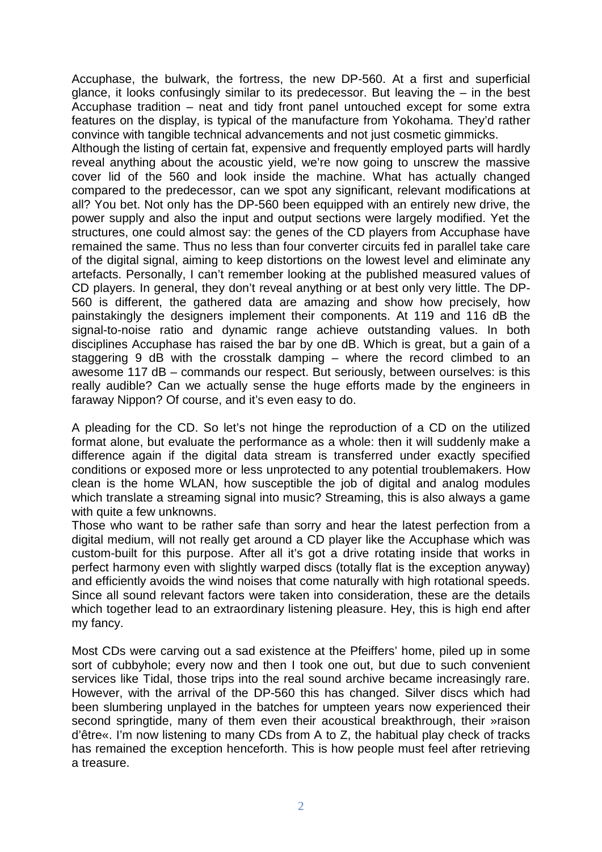Accuphase, the bulwark, the fortress, the new DP-560. At a first and superficial glance, it looks confusingly similar to its predecessor. But leaving the – in the best Accuphase tradition – neat and tidy front panel untouched except for some extra features on the display, is typical of the manufacture from Yokohama. They'd rather convince with tangible technical advancements and not just cosmetic gimmicks.

Although the listing of certain fat, expensive and frequently employed parts will hardly reveal anything about the acoustic yield, we're now going to unscrew the massive cover lid of the 560 and look inside the machine. What has actually changed compared to the predecessor, can we spot any significant, relevant modifications at all? You bet. Not only has the DP-560 been equipped with an entirely new drive, the power supply and also the input and output sections were largely modified. Yet the structures, one could almost say: the genes of the CD players from Accuphase have remained the same. Thus no less than four converter circuits fed in parallel take care of the digital signal, aiming to keep distortions on the lowest level and eliminate any artefacts. Personally, I can't remember looking at the published measured values of CD players. In general, they don't reveal anything or at best only very little. The DP-560 is different, the gathered data are amazing and show how precisely, how painstakingly the designers implement their components. At 119 and 116 dB the signal-to-noise ratio and dynamic range achieve outstanding values. In both disciplines Accuphase has raised the bar by one dB. Which is great, but a gain of a staggering 9 dB with the crosstalk damping – where the record climbed to an awesome 117 dB – commands our respect. But seriously, between ourselves: is this really audible? Can we actually sense the huge efforts made by the engineers in faraway Nippon? Of course, and it's even easy to do.

A pleading for the CD. So let's not hinge the reproduction of a CD on the utilized format alone, but evaluate the performance as a whole: then it will suddenly make a difference again if the digital data stream is transferred under exactly specified conditions or exposed more or less unprotected to any potential troublemakers. How clean is the home WLAN, how susceptible the job of digital and analog modules which translate a streaming signal into music? Streaming, this is also always a game with quite a few unknowns.

Those who want to be rather safe than sorry and hear the latest perfection from a digital medium, will not really get around a CD player like the Accuphase which was custom-built for this purpose. After all it's got a drive rotating inside that works in perfect harmony even with slightly warped discs (totally flat is the exception anyway) and efficiently avoids the wind noises that come naturally with high rotational speeds. Since all sound relevant factors were taken into consideration, these are the details which together lead to an extraordinary listening pleasure. Hey, this is high end after my fancy.

Most CDs were carving out a sad existence at the Pfeiffers' home, piled up in some sort of cubbyhole; every now and then I took one out, but due to such convenient services like Tidal, those trips into the real sound archive became increasingly rare. However, with the arrival of the DP-560 this has changed. Silver discs which had been slumbering unplayed in the batches for umpteen years now experienced their second springtide, many of them even their acoustical breakthrough, their »raison d'être«. I'm now listening to many CDs from A to Z, the habitual play check of tracks has remained the exception henceforth. This is how people must feel after retrieving a treasure.